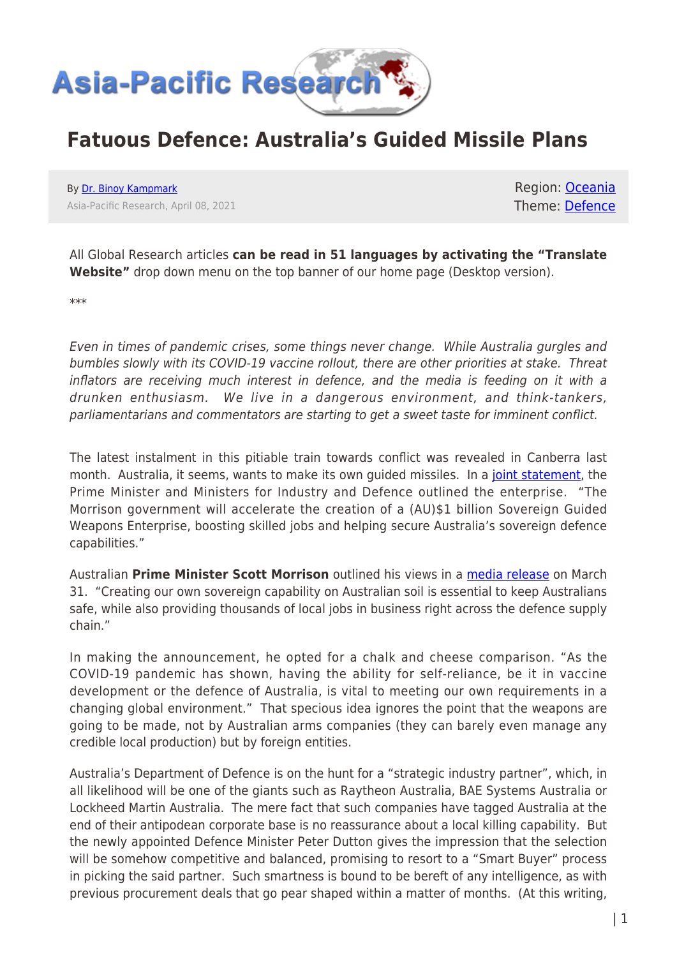

## **Fatuous Defence: Australia's Guided Missile Plans**

By [Dr. Binoy Kampmark](https://www.asia-pacificresearch.com/author/binoy-kampmark) Asia-Pacific Research, April 08, 2021

Region: [Oceania](https://www.asia-pacificresearch.com/region/as-oceania) Theme: [Defence](https://www.asia-pacificresearch.com/theme/defence)

All Global Research articles **can be read in 51 languages by activating the "Translate Website"** drop down menu on the top banner of our home page (Desktop version).

\*\*\*

Even in times of pandemic crises, some things never change. While Australia gurgles and bumbles slowly with its COVID-19 vaccine rollout, there are other priorities at stake. Threat inflators are receiving much interest in defence, and the media is feeding on it with a drunken enthusiasm. We live in a dangerous environment, and think-tankers, parliamentarians and commentators are starting to get a sweet taste for imminent conflict.

The latest instalment in this pitiable train towards conflict was revealed in Canberra last month. Australia, it seems, wants to make its own guided missiles. In a [joint statement,](https://www.minister.defence.gov.au/minister/peter-dutton/media-releases/morrison-government-accelerates-sovereign-guided-weapons) the Prime Minister and Ministers for Industry and Defence outlined the enterprise. "The Morrison government will accelerate the creation of a (AU)\$1 billion Sovereign Guided Weapons Enterprise, boosting skilled jobs and helping secure Australia's sovereign defence capabilities."

Australian **Prime Minister Scott Morrison** outlined his views in a [media release](https://www.pm.gov.au/media/sovereign-guided-weapons-manufacturing) on March 31. "Creating our own sovereign capability on Australian soil is essential to keep Australians safe, while also providing thousands of local jobs in business right across the defence supply chain."

In making the announcement, he opted for a chalk and cheese comparison. "As the COVID-19 pandemic has shown, having the ability for self-reliance, be it in vaccine development or the defence of Australia, is vital to meeting our own requirements in a changing global environment." That specious idea ignores the point that the weapons are going to be made, not by Australian arms companies (they can barely even manage any credible local production) but by foreign entities.

Australia's Department of Defence is on the hunt for a "strategic industry partner", which, in all likelihood will be one of the giants such as Raytheon Australia, BAE Systems Australia or Lockheed Martin Australia. The mere fact that such companies have tagged Australia at the end of their antipodean corporate base is no reassurance about a local killing capability. But the newly appointed Defence Minister Peter Dutton gives the impression that the selection will be somehow competitive and balanced, promising to resort to a "Smart Buyer" process in picking the said partner. Such smartness is bound to be bereft of any intelligence, as with previous procurement deals that go pear shaped within a matter of months. (At this writing,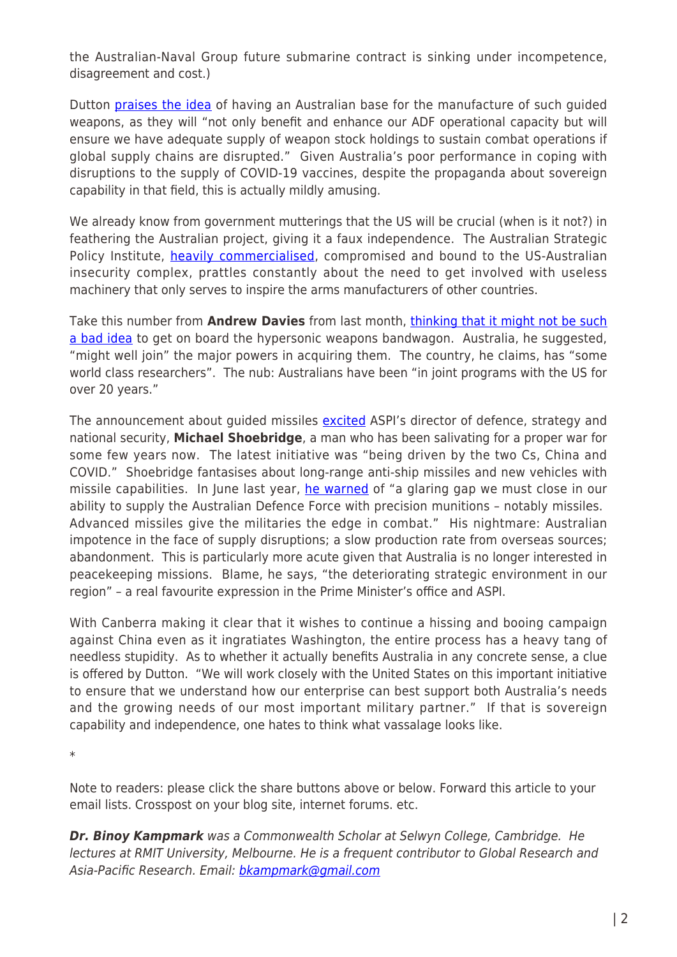the Australian-Naval Group future submarine contract is sinking under incompetence, disagreement and cost.)

Dutton [praises the idea](https://www.minister.defence.gov.au/minister/peter-dutton/media-releases/morrison-government-accelerates-sovereign-guided-weapons) of having an Australian base for the manufacture of such guided weapons, as they will "not only benefit and enhance our ADF operational capacity but will ensure we have adequate supply of weapon stock holdings to sustain combat operations if global supply chains are disrupted." Given Australia's poor performance in coping with disruptions to the supply of COVID-19 vaccines, despite the propaganda about sovereign capability in that field, this is actually mildly amusing.

We already know from government mutterings that the US will be crucial (when is it not?) in feathering the Australian project, giving it a faux independence. The Australian Strategic Policy Institute, [heavily commercialised,](https://johnmenadue.com/aspi-sponsors-collect-billions-from-defence/) compromised and bound to the US-Australian insecurity complex, prattles constantly about the need to get involved with useless machinery that only serves to inspire the arms manufacturers of other countries.

Take this number from **Andrew Davies** from last month, [thinking that it might not be such](https://www.aspi.org.au/report/coming-ready-or-not-hypersonic-weapons) [a bad idea](https://www.aspi.org.au/report/coming-ready-or-not-hypersonic-weapons) to get on board the hypersonic weapons bandwagon. Australia, he suggested, "might well join" the major powers in acquiring them. The country, he claims, has "some world class researchers". The nub: Australians have been "in joint programs with the US for over 20 years."

The announcement about guided missiles [excited](https://ca.finance.yahoo.com/news/australia-build-guided-missiles-boost-035003831.html) ASPI's director of defence, strategy and national security, **Michael Shoebridge**, a man who has been salivating for a proper war for some few years now. The latest initiative was "being driven by the two Cs, China and COVID." Shoebridge fantasises about long-range anti-ship missiles and new vehicles with missile capabilities. In June last year, [he warned](https://www.aspistrategist.org.au/australia-needs-to-ensure-it-has-the-advanced-missiles-it-needs/) of "a glaring gap we must close in our ability to supply the Australian Defence Force with precision munitions – notably missiles. Advanced missiles give the militaries the edge in combat." His nightmare: Australian impotence in the face of supply disruptions; a slow production rate from overseas sources; abandonment. This is particularly more acute given that Australia is no longer interested in peacekeeping missions. Blame, he says, "the deteriorating strategic environment in our region" – a real favourite expression in the Prime Minister's office and ASPI.

With Canberra making it clear that it wishes to continue a hissing and booing campaign against China even as it ingratiates Washington, the entire process has a heavy tang of needless stupidity. As to whether it actually benefits Australia in any concrete sense, a clue is offered by Dutton. "We will work closely with the United States on this important initiative to ensure that we understand how our enterprise can best support both Australia's needs and the growing needs of our most important military partner." If that is sovereign capability and independence, one hates to think what vassalage looks like.

\*

Note to readers: please click the share buttons above or below. Forward this article to your email lists. Crosspost on your blog site, internet forums. etc.

*Dr. Binoy Kampmark* was a Commonwealth Scholar at Selwyn College, Cambridge. He lectures at RMIT University, Melbourne. He is a frequent contributor to Global Research and Asia-Pacific Research. Email: [bkampmark@gmail.com](mailto:bkampmark@gmail.com)